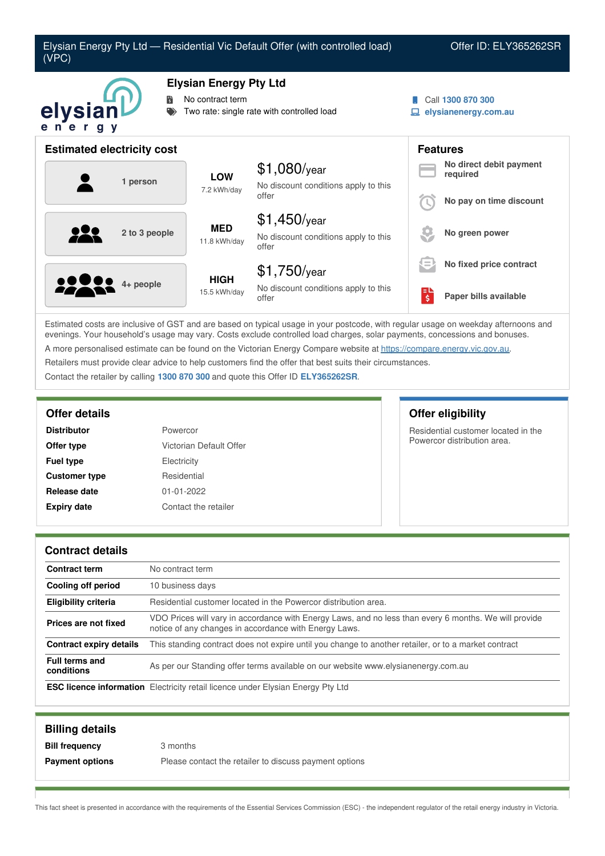

Estimated costs are inclusive of GST and are based on typical usage in your postcode, with regular usage on weekday afternoons and evenings. Your household's usage may vary. Costs exclude controlled load charges, solar payments, concessions and bonuses. A more personalised estimate can be found on the Victorian Energy Compare website at <https://compare.energy.vic.gov.au>. Retailers must provide clear advice to help customers find the offer that best suits their circumstances. Contact the retailer by calling **1300 870 300** and quote this Offer ID **ELY365262SR**.

| <b>Distributor</b>   | Powercor                |
|----------------------|-------------------------|
| Offer type           | Victorian Default Offer |
| <b>Fuel type</b>     | Electricity             |
| <b>Customer type</b> | Residential             |
| Release date         | $01 - 01 - 2022$        |
| <b>Expiry date</b>   | Contact the retailer    |

### **Offer details Offer eligibility**

Residential customer located in the Powercor distribution area.

### **Contract details**

| <b>Contract term</b>                | No contract term                                                                                                                                               |
|-------------------------------------|----------------------------------------------------------------------------------------------------------------------------------------------------------------|
| Cooling off period                  | 10 business days                                                                                                                                               |
| Eligibility criteria                | Residential customer located in the Powercor distribution area.                                                                                                |
| Prices are not fixed                | VDO Prices will vary in accordance with Energy Laws, and no less than every 6 months. We will provide<br>notice of any changes in accordance with Energy Laws. |
| Contract expiry details             | This standing contract does not expire until you change to another retailer, or to a market contract                                                           |
| <b>Full terms and</b><br>conditions | As per our Standing offer terms available on our website www.elysianenergy.com.au                                                                              |
|                                     | <b>ESC licence information</b> Electricity retail licence under Elysian Energy Pty Ltd                                                                         |

| <b>Billing details</b> |                                                        |
|------------------------|--------------------------------------------------------|
| <b>Bill frequency</b>  | 3 months                                               |
| <b>Payment options</b> | Please contact the retailer to discuss payment options |